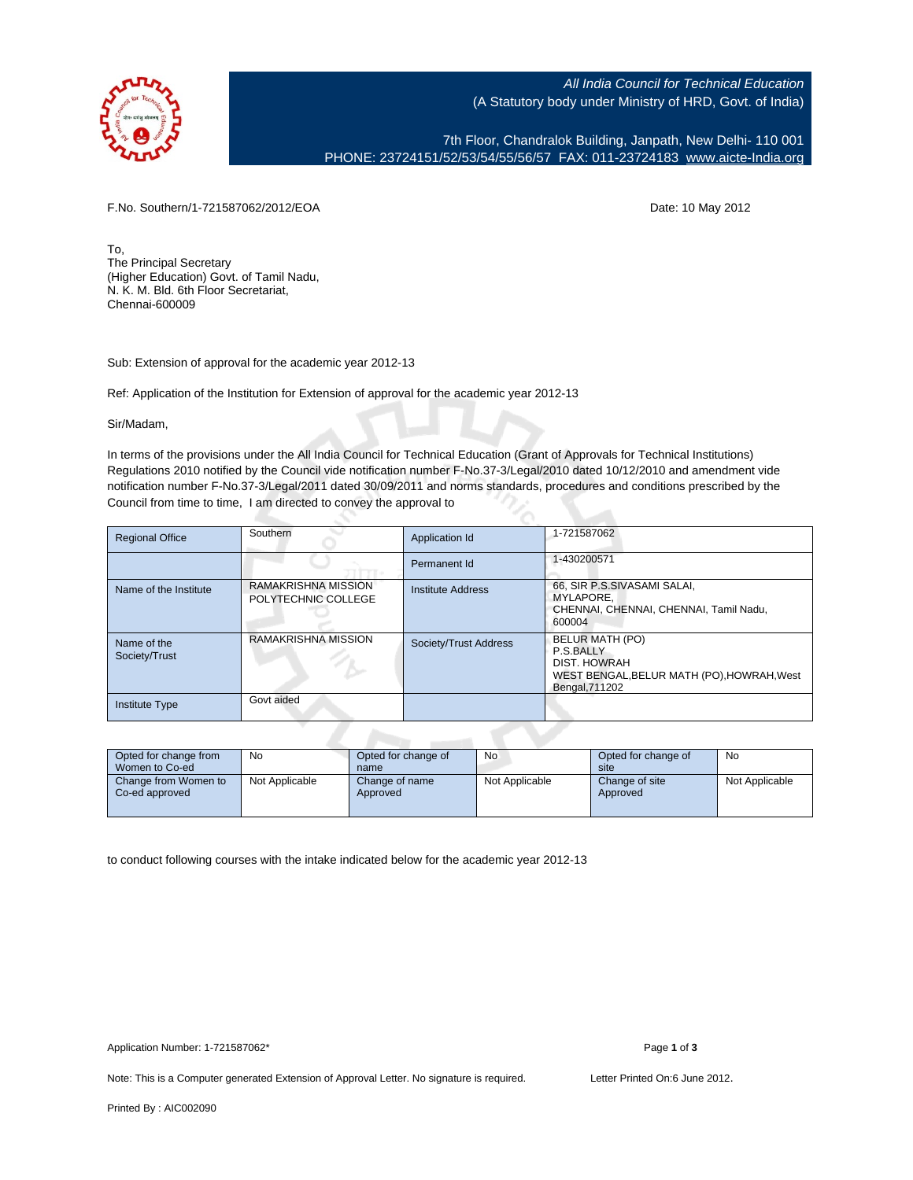

All India Council for Technical Education (A Statutory body under Ministry of HRD, Govt. of India)

7th Floor, Chandralok Building, Janpath, New Delhi- 110 001 PHONE: 23724151/52/53/54/55/56/57 FAX: 011-23724183 [www.aicte-India.org](http://www.aicte-India.org)

F.No. Southern/1-721587062/2012/EOA Date: 10 May 2012

To, The Principal Secretary (Higher Education) Govt. of Tamil Nadu, N. K. M. Bld. 6th Floor Secretariat, Chennai-600009

Sub: Extension of approval for the academic year 2012-13

Ref: Application of the Institution for Extension of approval for the academic year 2012-13

Sir/Madam,

In terms of the provisions under the All India Council for Technical Education (Grant of Approvals for Technical Institutions) Regulations 2010 notified by the Council vide notification number F-No.37-3/Legal/2010 dated 10/12/2010 and amendment vide notification number F-No.37-3/Legal/2011 dated 30/09/2011 and norms standards, procedures and conditions prescribed by the Council from time to time, I am directed to convey the approval to

| <b>Regional Office</b>       | Southern                                   | Application Id           | 1-721587062                                                                                                         |  |  |  |
|------------------------------|--------------------------------------------|--------------------------|---------------------------------------------------------------------------------------------------------------------|--|--|--|
|                              |                                            | Permanent Id             | 1-430200571                                                                                                         |  |  |  |
| Name of the Institute        | RAMAKRISHNA MISSION<br>POLYTECHNIC COLLEGE | <b>Institute Address</b> | 66, SIR P.S.SIVASAMI SALAI,<br>MYLAPORE.<br>CHENNAI, CHENNAI, CHENNAI, Tamil Nadu,<br>600004                        |  |  |  |
| Name of the<br>Society/Trust | <b>RAMAKRISHNA MISSION</b>                 | Society/Trust Address    | <b>BELUR MATH (PO)</b><br>P.S.BALLY<br>DIST. HOWRAH<br>WEST BENGAL, BELUR MATH (PO), HOWRAH, West<br>Bengal, 711202 |  |  |  |
| <b>Institute Type</b>        | Govt aided                                 |                          |                                                                                                                     |  |  |  |
|                              |                                            |                          |                                                                                                                     |  |  |  |

| Opted for change from<br>Women to Co-ed | No             | Opted for change of<br>name | No             | Opted for change of<br>site | No             |
|-----------------------------------------|----------------|-----------------------------|----------------|-----------------------------|----------------|
| Change from Women to<br>Co-ed approved  | Not Applicable | Change of name<br>Approved  | Not Applicable | Change of site<br>Approved  | Not Applicable |

to conduct following courses with the intake indicated below for the academic year 2012-13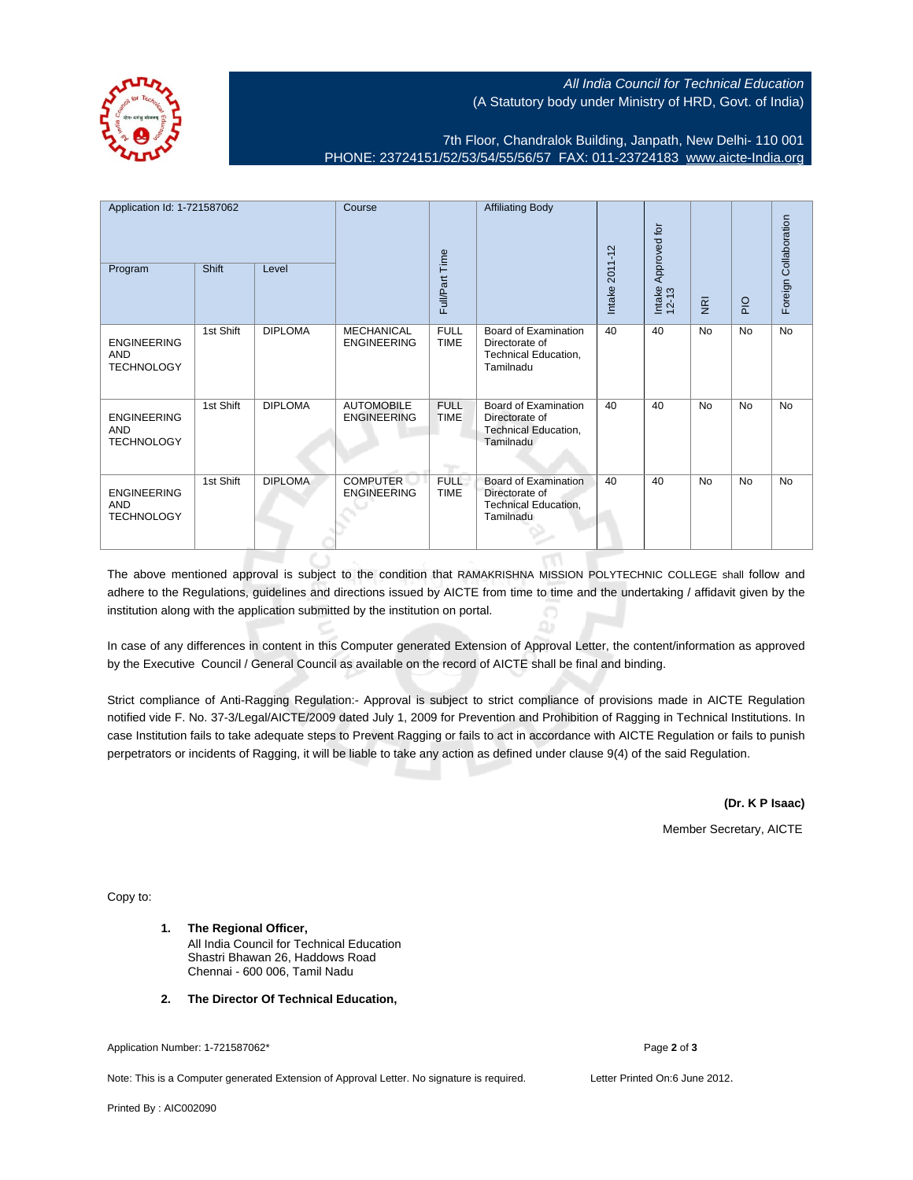## All India Council for Technical Education (A Statutory body under Ministry of HRD, Govt. of India)

7th Floor, Chandralok Building, Janpath, New Delhi- 110 001 PHONE: 23724151/52/53/54/55/56/57 FAX: 011-23724183 [www.aicte-India.org](http://www.aicte-India.org)

| Application Id: 1-721587062                           |           | Course         |                                         | <b>Affiliating Body</b>    |                                                                                    | Approved for   |                 |                | Foreign Collaboration |           |
|-------------------------------------------------------|-----------|----------------|-----------------------------------------|----------------------------|------------------------------------------------------------------------------------|----------------|-----------------|----------------|-----------------------|-----------|
| Program                                               | Shift     | Level          |                                         | Full/Part Time             |                                                                                    | Intake 2011-12 | Intake<br>12-13 | $\overline{g}$ | PIO                   |           |
| <b>ENGINEERING</b><br>AND<br><b>TECHNOLOGY</b>        | 1st Shift | <b>DIPLOMA</b> | <b>MECHANICAL</b><br><b>ENGINEERING</b> | <b>FULL</b><br><b>TIME</b> | Board of Examination<br>Directorate of<br>Technical Education,<br>Tamilnadu        | 40             | 40              | <b>No</b>      | No                    | No        |
| <b>ENGINEERING</b><br>AND<br><b>TECHNOLOGY</b>        | 1st Shift | <b>DIPLOMA</b> | <b>AUTOMOBILE</b><br><b>ENGINEERING</b> | <b>FULL</b><br><b>TIME</b> | Board of Examination<br>Directorate of<br><b>Technical Education,</b><br>Tamilnadu | 40             | 40              | <b>No</b>      | <b>No</b>             | <b>No</b> |
| <b>ENGINEERING</b><br><b>AND</b><br><b>TECHNOLOGY</b> | 1st Shift | <b>DIPLOMA</b> | <b>COMPUTER</b><br><b>ENGINEERING</b>   | <b>FULL</b><br><b>TIME</b> | Board of Examination<br>Directorate of<br><b>Technical Education,</b><br>Tamilnadu | 40             | 40              | <b>No</b>      | No                    | <b>No</b> |

The above mentioned approval is subject to the condition that RAMAKRISHNA MISSION POLYTECHNIC COLLEGE shall follow and adhere to the Regulations, guidelines and directions issued by AICTE from time to time and the undertaking / affidavit given by the institution along with the application submitted by the institution on portal.

In case of any differences in content in this Computer generated Extension of Approval Letter, the content/information as approved by the Executive Council / General Council as available on the record of AICTE shall be final and binding.

Strict compliance of Anti-Ragging Regulation:- Approval is subject to strict compliance of provisions made in AICTE Regulation notified vide F. No. 37-3/Legal/AICTE/2009 dated July 1, 2009 for Prevention and Prohibition of Ragging in Technical Institutions. In case Institution fails to take adequate steps to Prevent Ragging or fails to act in accordance with AICTE Regulation or fails to punish perpetrators or incidents of Ragging, it will be liable to take any action as defined under clause 9(4) of the said Regulation.

**(Dr. K P Isaac)**

Member Secretary, AICTE

Copy to:

- **1. The Regional Officer,** All India Council for Technical Education Shastri Bhawan 26, Haddows Road Chennai - 600 006, Tamil Nadu
- **2. The Director Of Technical Education,**

Application Number: 1-721587062\* Page **2** of **3**

Note: This is a Computer generated Extension of Approval Letter. No signature is required. Letter Printed On:6 June 2012.